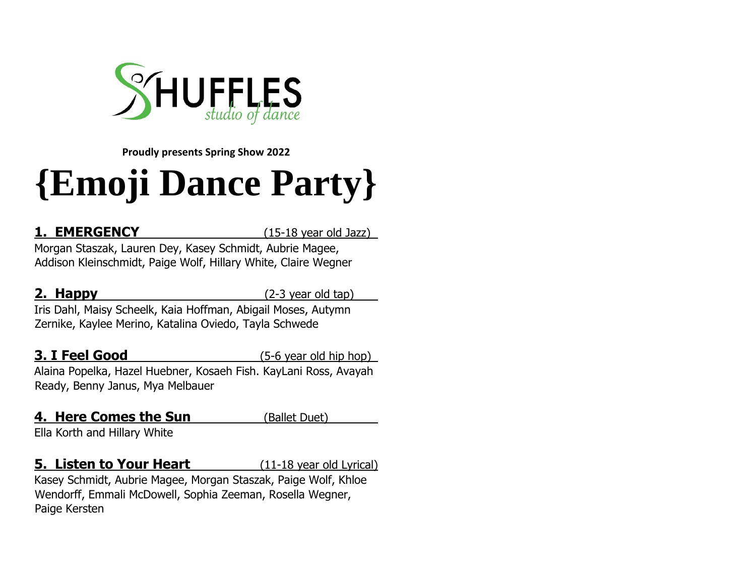

**Proudly presents Spring Show 2022**

# **{Emoji Dance Party}**

**1. EMERGENCY** (15-18 year old Jazz)

Morgan Staszak, Lauren Dey, Kasey Schmidt, Aubrie Magee, Addison Kleinschmidt, Paige Wolf, Hillary White, Claire Wegner

**2. Happy** (2-3 year old tap)

Iris Dahl, Maisy Scheelk, Kaia Hoffman, Abigail Moses, Autymn Zernike, Kaylee Merino, Katalina Oviedo, Tayla Schwede

### **3. I Feel Good** (5-6 year old hip hop) Alaina Popelka, Hazel Huebner, Kosaeh Fish. KayLani Ross, Avayah

Ready, Benny Janus, Mya Melbauer

### **4. Here Comes the Sun** (Ballet Duet)

Ella Korth and Hillary White

### **5. Listen to Your Heart** (11-18 year old Lyrical)

Kasey Schmidt, Aubrie Magee, Morgan Staszak, Paige Wolf, Khloe Wendorff, Emmali McDowell, Sophia Zeeman, Rosella Wegner, Paige Kersten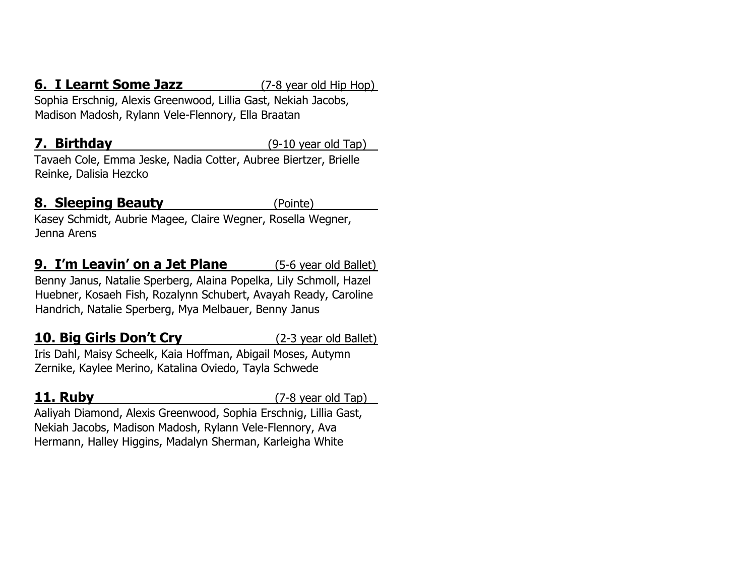### **6. I Learnt Some Jazz** (7-8 year old Hip Hop)

Sophia Erschnig, Alexis Greenwood, Lillia Gast, Nekiah Jacobs, Madison Madosh, Rylann Vele-Flennory, Ella Braatan

**7. Birthday** (9-10 year old Tap)

Tavaeh Cole, Emma Jeske, Nadia Cotter, Aubree Biertzer, Brielle Reinke, Dalisia Hezcko

### **8. Sleeping Beauty** (Pointe)

Kasey Schmidt, Aubrie Magee, Claire Wegner, Rosella Wegner, Jenna Arens

**9. I'm Leavin' on a Jet Plane** (5-6 year old Ballet) Benny Janus, Natalie Sperberg, Alaina Popelka, Lily Schmoll, Hazel Huebner, Kosaeh Fish, Rozalynn Schubert, Avayah Ready, Caroline Handrich, Natalie Sperberg, Mya Melbauer, Benny Janus

### **10. Big Girls Don't Cry** (2-3 year old Ballet)

Iris Dahl, Maisy Scheelk, Kaia Hoffman, Abigail Moses, Autymn Zernike, Kaylee Merino, Katalina Oviedo, Tayla Schwede

**11. Ruby** (7-8 year old Tap)

Aaliyah Diamond, Alexis Greenwood, Sophia Erschnig, Lillia Gast, Nekiah Jacobs, Madison Madosh, Rylann Vele-Flennory, Ava Hermann, Halley Higgins, Madalyn Sherman, Karleigha White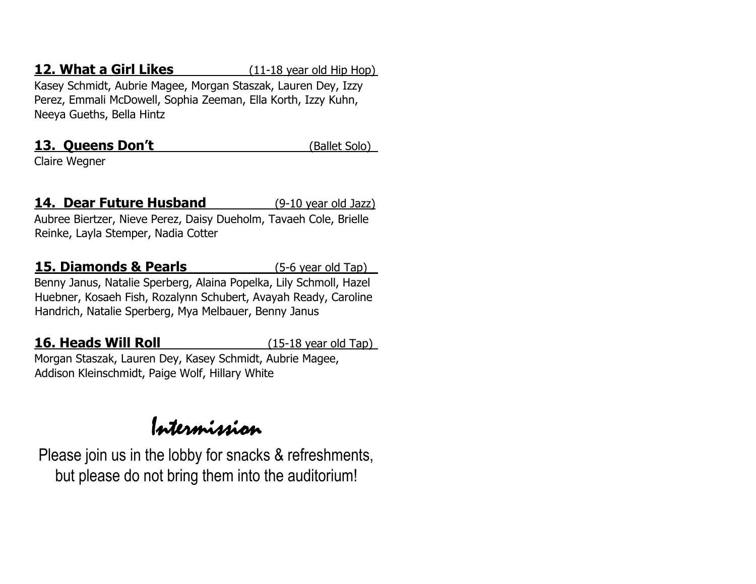### **12. What a Girl Likes** (11-18 year old Hip Hop)

Kasey Schmidt, Aubrie Magee, Morgan Staszak, Lauren Dey, Izzy Perez, Emmali McDowell, Sophia Zeeman, Ella Korth, Izzy Kuhn, Neeya Gueths, Bella Hintz

### **13. Queens Don't** (Ballet Solo)

Claire Wegner

### **14. Dear Future Husband** (9-10 year old Jazz)

Aubree Biertzer, Nieve Perez, Daisy Dueholm, Tavaeh Cole, Brielle Reinke, Layla Stemper, Nadia Cotter

### **15. Diamonds & Pearls** (5-6 year old Tap)

Benny Janus, Natalie Sperberg, Alaina Popelka, Lily Schmoll, Hazel Huebner, Kosaeh Fish, Rozalynn Schubert, Avayah Ready, Caroline Handrich, Natalie Sperberg, Mya Melbauer, Benny Janus

### **16. Heads Will Roll** (15-18 year old Tap)

Morgan Staszak, Lauren Dey, Kasey Schmidt, Aubrie Magee, Addison Kleinschmidt, Paige Wolf, Hillary White

# Intermission

Please join us in the lobby for snacks & refreshments, but please do not bring them into the auditorium!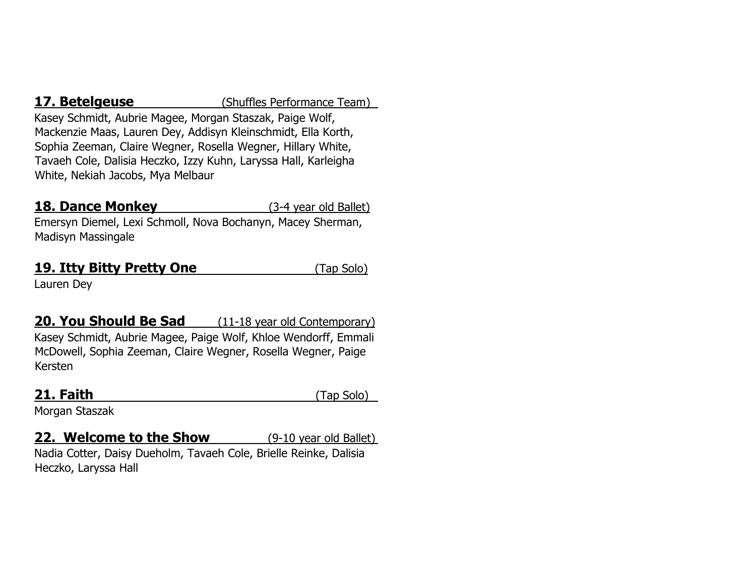**17. Betelgeuse** (Shuffles Performance Team)

Kasey Schmidt, Aubrie Magee, Morgan Staszak, Paige Wolf, Mackenzie Maas, Lauren Dey, Addisyn Kleinschmidt, Ella Korth, Sophia Zeeman, Claire Wegner, Rosella Wegner, Hillary White, Tavaeh Cole, Dalisia Heczko, Izzy Kuhn, Laryssa Hall, Karleigha White, Nekiah Jacobs, Mya Melbaur

### **18. Dance Monkey** (3-4 year old Ballet)

Emersyn Diemel, Lexi Schmoll, Nova Bochanyn, Macey Sherman, Madisyn Massingale

### **19. Itty Bitty Pretty One** (Tap Solo)

Lauren Dey

**20. You Should Be Sad** (11-18 year old Contemporary) Kasey Schmidt, Aubrie Magee, Paige Wolf, Khloe Wendorff, Emmali McDowell, Sophia Zeeman, Claire Wegner, Rosella Wegner, Paige Kersten

**21. Faith** (Tap Solo)

Morgan Staszak

### **22. Welcome to the Show** (9-10 year old Ballet)

Nadia Cotter, Daisy Dueholm, Tavaeh Cole, Brielle Reinke, Dalisia Heczko, Laryssa Hall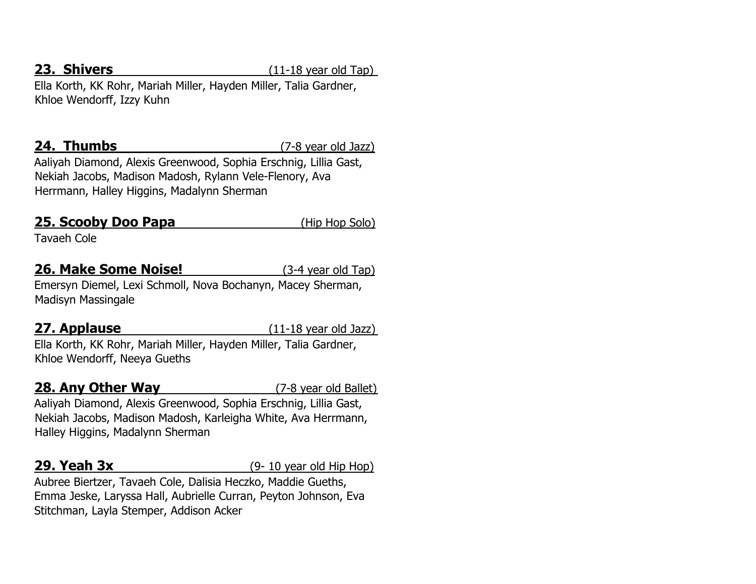**23. Shivers** (11-18 year old Tap)

Ella Korth, KK Rohr, Mariah Miller, Hayden Miller, Talia Gardner, Khloe Wendorff, Izzy Kuhn

**24. Thumbs** (7-8 year old Jazz)

Aaliyah Diamond, Alexis Greenwood, Sophia Erschnig, Lillia Gast, Nekiah Jacobs, Madison Madosh, Rylann Vele-Flenory, Ava Herrmann, Halley Higgins, Madalynn Sherman

### **25. Scooby Doo Papa** (Hip Hop Solo)

Tavaeh Cole

### **26. Make Some Noise!** (3-4 year old Tap)

Emersyn Diemel, Lexi Schmoll, Nova Bochanyn, Macey Sherman, Madisyn Massingale

**27. Applause 11-18** year old Jazz)

Ella Korth, KK Rohr, Mariah Miller, Hayden Miller, Talia Gardner, Khloe Wendorff, Neeya Gueths

### **28. Any Other Way** (7-8 year old Ballet)

Aaliyah Diamond, Alexis Greenwood, Sophia Erschnig, Lillia Gast, Nekiah Jacobs, Madison Madosh, Karleigha White, Ava Herrmann, Halley Higgins, Madalynn Sherman

**29. Yeah 3x** (9- 10 year old Hip Hop)

Aubree Biertzer, Tavaeh Cole, Dalisia Heczko, Maddie Gueths, Emma Jeske, Laryssa Hall, Aubrielle Curran, Peyton Johnson, Eva Stitchman, Layla Stemper, Addison Acker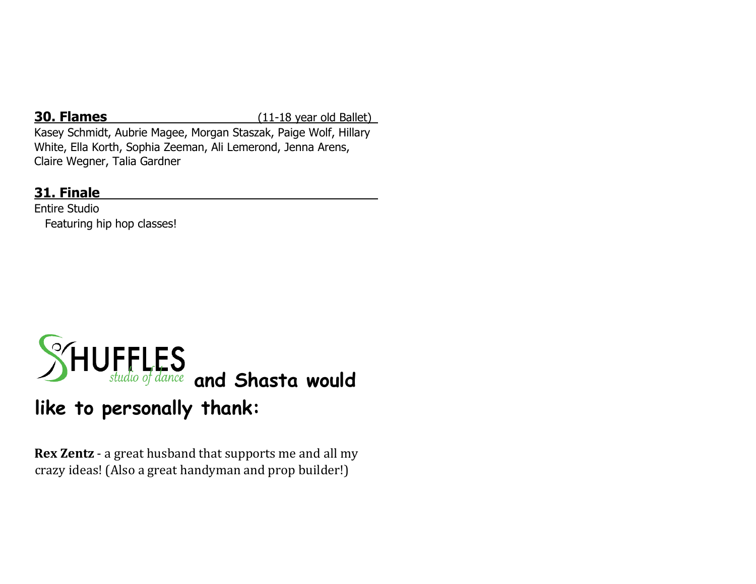**30. Flames** (11-18 year old Ballet)

Kasey Schmidt, Aubrie Magee, Morgan Staszak, Paige Wolf, Hillary White, Ella Korth, Sophia Zeeman, Ali Lemerond, Jenna Arens, Claire Wegner, Talia Gardner

### **31. Finale**

Entire Studio Featuring hip hop classes!



## **like to personally thank:**

**Rex Zentz** - a great husband that supports me and all my crazy ideas! (Also a great handyman and prop builder!)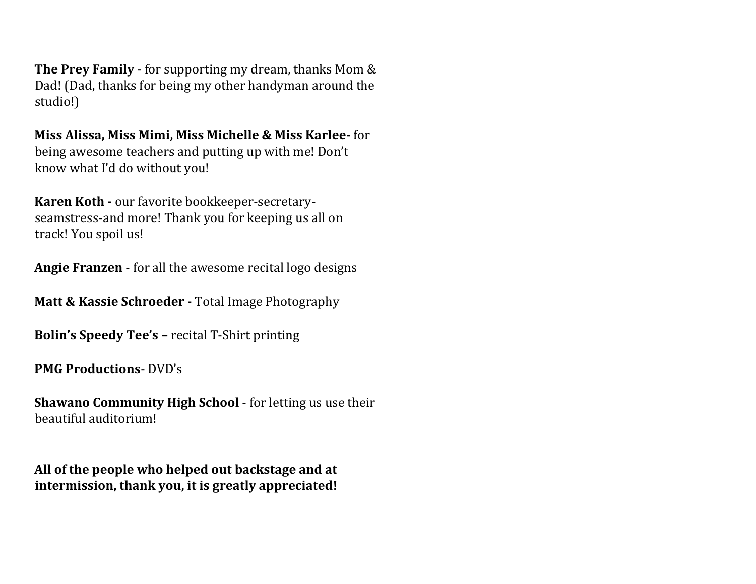**The Prey Family** - for supporting my dream, thanks Mom & Dad! (Dad, thanks for being my other handyman around the studio!)

**Miss Alissa, Miss Mimi, Miss Michelle & Miss Karlee-** for being awesome teachers and putting up with me! Don't know what I'd do without you!

**Karen Koth -** our favorite bookkeeper-secretaryseamstress-and more! Thank you for keeping us all on track! You spoil us!

**Angie Franzen** - for all the awesome recital logo designs

**Matt & Kassie Schroeder -** Total Image Photography

**Bolin's Speedy Tee's –** recital T-Shirt printing

**PMG Productions**- DVD's

**Shawano Community High School** - for letting us use their beautiful auditorium!

**All of the people who helped out backstage and at intermission, thank you, it is greatly appreciated!**